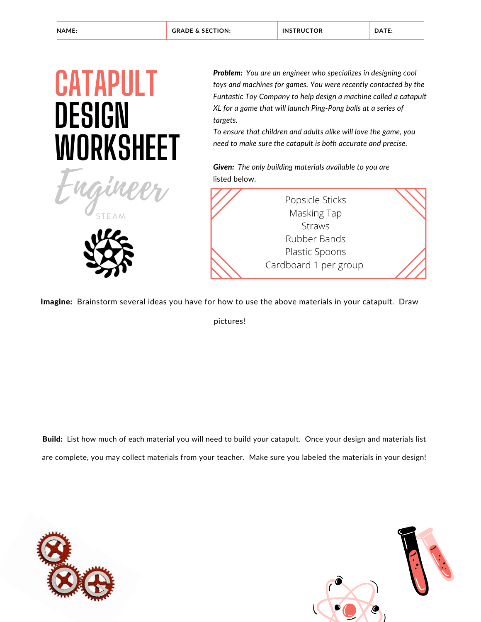### **CATAPULT DESIGN WORKSHEET**

Engineer

**STEAM** 

*Problem: You are an engineer who specializes in designing cool toys and machines for games. You were recently contacted by the Funtastic Toy Company to help design a machine called a catapult XL for a game that will launch Ping-Pong balls at a series of targets.*

*To ensure that children and adults alike will love the game, you need to make sure the catapult is both accurate and precise.*

*Given: The only building materials available to you are* listed below.



Imagine: Brainstorm several ideas you have for how to use the above materials in your catapult. Draw

pictures!

Build: List how much of each material you will need to build your catapult. Once your design and materials list are complete, you may collect materials from your teacher. Make sure you labeled the materials in your design!



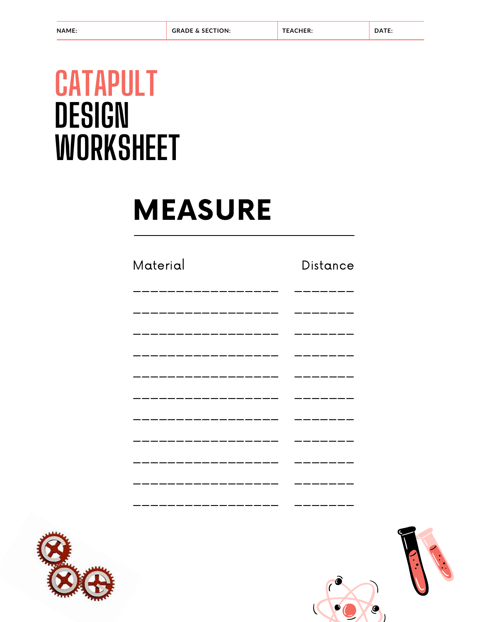## **CATAPULT** DESIGN **WORKSHEET**

# **MEASURE**

#### Material

#### Distance